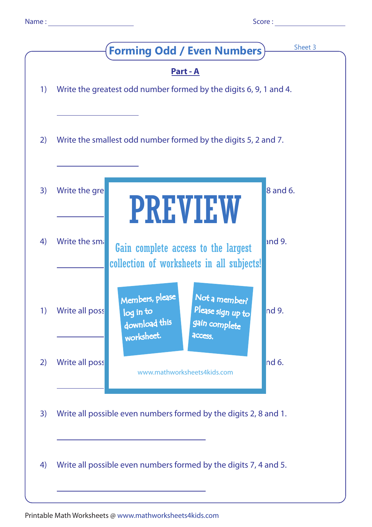|                                                | Sheet 3<br><b>Forming Odd / Even Numbers</b> )                                                                                                           |
|------------------------------------------------|----------------------------------------------------------------------------------------------------------------------------------------------------------|
| $\left( \begin{matrix} 1 \end{matrix} \right)$ | <u>Part - A</u><br>Write the greatest odd number formed by the digits 6, 9, 1 and 4.                                                                     |
| 2)                                             | Write the smallest odd number formed by the digits 5, 2 and 7.                                                                                           |
| 3)                                             | Write the gre<br>8 and 6.<br><b>PREVIEW</b>                                                                                                              |
| 4)                                             | and 9.<br>Write the sma<br>Gain complete access to the largest<br>collection of worksheets in all subjects!                                              |
| 1)                                             | Members, please<br>Not a member?<br>Please sign up to<br>nd 9.<br>Write all poss<br>log in to<br>download this<br>gain complete<br>worksheet.<br>access. |
| 2)                                             | nd6.<br>Write all poss<br>www.mathworksheets4kids.com                                                                                                    |
| 3)                                             | Write all possible even numbers formed by the digits 2, 8 and 1.                                                                                         |
| 4)                                             | Write all possible even numbers formed by the digits 7, 4 and 5.                                                                                         |